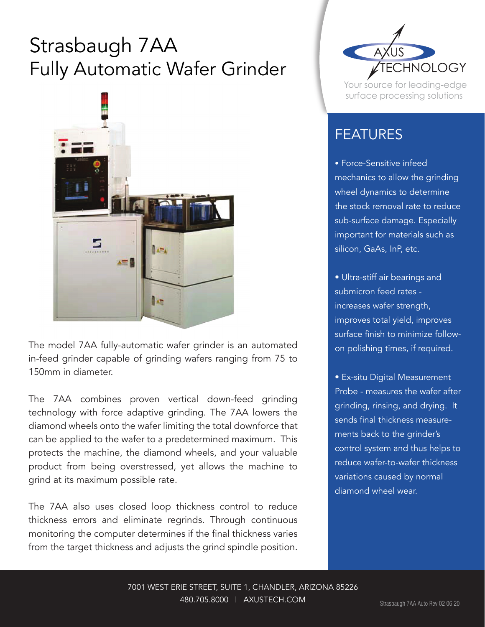## Strasbaugh 7AA Fully Automatic Wafer Grinder



The model 7AA fully-automatic wafer grinder is an automated in-feed grinder capable of grinding wafers ranging from 75 to 150mm in diameter.

The 7AA combines proven vertical down-feed grinding technology with force adaptive grinding. The 7AA lowers the diamond wheels onto the wafer limiting the total downforce that can be applied to the wafer to a predetermined maximum. This protects the machine, the diamond wheels, and your valuable product from being overstressed, yet allows the machine to grind at its maximum possible rate.

The 7AA also uses closed loop thickness control to reduce thickness errors and eliminate regrinds. Through continuous monitoring the computer determines if the final thickness varies from the target thickness and adjusts the grind spindle position.



Your source for leading-edge surface processing solutions

## FEATURES

• Force-Sensitive infeed mechanics to allow the grinding wheel dynamics to determine the stock removal rate to reduce sub-surface damage. Especially important for materials such as silicon, GaAs, InP, etc.

• Ultra-stiff air bearings and submicron feed rates increases wafer strength, improves total yield, improves surface finish to minimize followon polishing times, if required.

• Ex-situ Digital Measurement Probe - measures the wafer after grinding, rinsing, and drying. It sends final thickness measurements back to the grinder's control system and thus helps to reduce wafer-to-wafer thickness variations caused by normal diamond wheel wear.